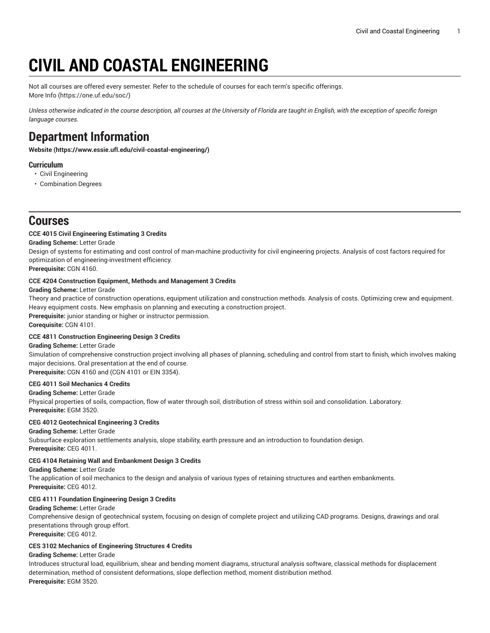# **CIVIL AND COASTAL ENGINEERING**

Not all courses are offered every semester. Refer to the schedule of courses for each term's specific offerings. [More](https://one.uf.edu/soc/) Info [\(https://one.uf.edu/soc/](https://one.uf.edu/soc/))

Unless otherwise indicated in the course description, all courses at the University of Florida are taught in English, with the exception of specific foreign *language courses.*

# **Department Information**

**[Website](https://www.essie.ufl.edu/civil-coastal-engineering/) (<https://www.essie.ufl.edu/civil-coastal-engineering/>)**

# **Curriculum**

- Civil Engineering
- Combination Degrees

# **Courses**

# **CCE 4015 Civil Engineering Estimating 3 Credits**

**Grading Scheme:** Letter Grade

Design of systems for estimating and cost control of man-machine productivity for civil engineering projects. Analysis of cost factors required for optimization of engineering-investment efficiency.

**Prerequisite:** CGN 4160.

# **CCE 4204 Construction Equipment, Methods and Management 3 Credits**

**Grading Scheme:** Letter Grade

Theory and practice of construction operations, equipment utilization and construction methods. Analysis of costs. Optimizing crew and equipment. Heavy equipment costs. New emphasis on planning and executing a construction project. **Prerequisite:** junior standing or higher or instructor permission. **Corequisite:** CGN 4101.

#### **CCE 4811 Construction Engineering Design 3 Credits**

#### **Grading Scheme:** Letter Grade

Simulation of comprehensive construction project involving all phases of planning, scheduling and control from start to finish, which involves making major decisions. Oral presentation at the end of course.

**Prerequisite:** CGN 4160 and (CGN 4101 or EIN 3354).

# **CEG 4011 Soil Mechanics 4 Credits**

# **Grading Scheme:** Letter Grade

Physical properties of soils, compaction, flow of water through soil, distribution of stress within soil and consolidation. Laboratory. **Prerequisite:** EGM 3520.

#### **CEG 4012 Geotechnical Engineering 3 Credits**

**Grading Scheme:** Letter Grade

Subsurface exploration settlements analysis, slope stability, earth pressure and an introduction to foundation design. **Prerequisite:** CEG 4011.

# **CEG 4104 Retaining Wall and Embankment Design 3 Credits**

**Grading Scheme:** Letter Grade

The application of soil mechanics to the design and analysis of various types of retaining structures and earthen embankments. **Prerequisite:** CEG 4012.

#### **CEG 4111 Foundation Engineering Design 3 Credits**

#### **Grading Scheme:** Letter Grade

Comprehensive design of geotechnical system, focusing on design of complete project and utilizing CAD programs. Designs, drawings and oral presentations through group effort.

**Prerequisite:** CEG 4012.

#### **CES 3102 Mechanics of Engineering Structures 4 Credits**

#### **Grading Scheme:** Letter Grade

Introduces structural load, equilibrium, shear and bending moment diagrams, structural analysis software, classical methods for displacement determination, method of consistent deformations, slope deflection method, moment distribution method. **Prerequisite:** EGM 3520.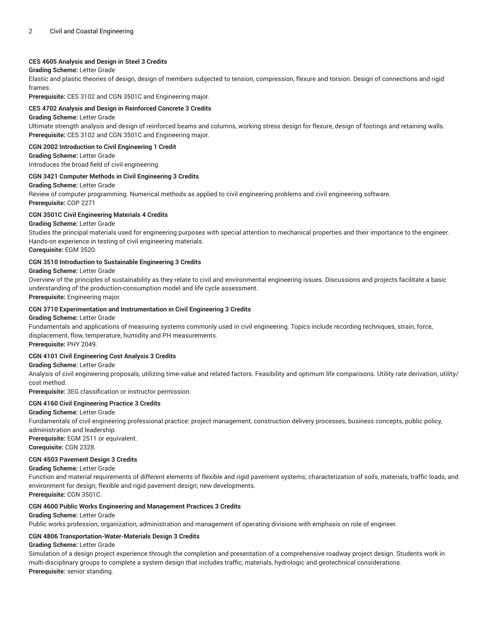#### **CES 4605 Analysis and Design in Steel 3 Credits**

# **Grading Scheme:** Letter Grade

Elastic and plastic theories of design, design of members subjected to tension, compression, flexure and torsion. Design of connections and rigid frames.

**Prerequisite:** CES 3102 and CGN 3501C and Engineering major.

#### **CES 4702 Analysis and Design in Reinforced Concrete 3 Credits**

#### **Grading Scheme:** Letter Grade

Ultimate strength analysis and design of reinforced beams and columns, working stress design for flexure, design of footings and retaining walls. **Prerequisite:** CES 3102 and CGN 3501C and Engineering major.

#### **CGN 2002 Introduction to Civil Engineering 1 Credit**

**Grading Scheme:** Letter Grade Introduces the broad field of civil engineering.

#### **CGN 3421 Computer Methods in Civil Engineering 3 Credits**

#### **Grading Scheme:** Letter Grade

Review of computer programming. Numerical methods as applied to civil engineering problems and civil engineering software. **Prerequisite:** COP 2271

#### **CGN 3501C Civil Engineering Materials 4 Credits**

#### **Grading Scheme:** Letter Grade

Studies the principal materials used for engineering purposes with special attention to mechanical properties and their importance to the engineer. Hands-on experience in testing of civil engineering materials.

**Corequisite:** EGM 3520.

#### **CGN 3510 Introduction to Sustainable Engineering 3 Credits**

#### **Grading Scheme:** Letter Grade

Overview of the principles of sustainability as they relate to civil and environmental engineering issues. Discussions and projects facilitate a basic understanding of the production-consumption model and life cycle assessment.

**Prerequisite:** Engineering major.

#### **CGN 3710 Experimentation and Instrumentation in Civil Engineering 3 Credits**

#### **Grading Scheme:** Letter Grade

Fundamentals and applications of measuring systems commonly used in civil engineering. Topics include recording techniques, strain, force, displacement, flow, temperature, humidity and PH measurements. **Prerequisite:** PHY 2049.

#### **CGN 4101 Civil Engineering Cost Analysis 3 Credits**

#### **Grading Scheme:** Letter Grade

Analysis of civil engineering proposals, utilizing time-value and related factors. Feasibility and optimum life comparisons. Utility rate derivation, utility/ cost method.

**Prerequisite:** 3EG classification or instructor permission.

#### **CGN 4160 Civil Engineering Practice 3 Credits**

#### **Grading Scheme:** Letter Grade

Fundamentals of civil engineering professional practice: project management, construction delivery processes, business concepts, public policy, administration and leadership.

**Prerequisite:** EGM 2511 or equivalent. **Corequisite:** CGN 2328.

#### **CGN 4503 Pavement Design 3 Credits**

#### **Grading Scheme:** Letter Grade

Function and material requirements of different elements of flexible and rigid pavement systems; characterization of soils, materials, traffic loads, and environment for design; flexible and rigid pavement design; new developments. **Prerequisite:** CGN 3501C.

#### **CGN 4600 Public Works Engineering and Management Practices 3 Credits**

#### **Grading Scheme:** Letter Grade

Public works profession, organization, administration and management of operating divisions with emphasis on role of engineer.

#### **CGN 4806 Transportation-Water-Materials Design 3 Credits**

#### **Grading Scheme:** Letter Grade

Simulation of a design project experience through the completion and presentation of a comprehensive roadway project design. Students work in multi-disciplinary groups to complete a system design that includes traffic, materials, hydrologic and geotechnical considerations. **Prerequisite:** senior standing.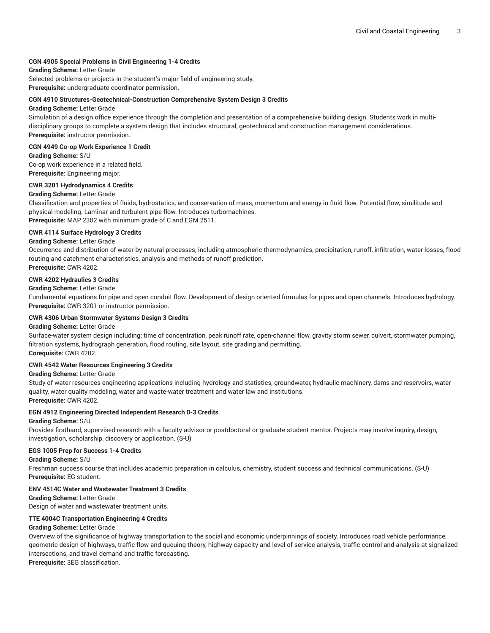#### **CGN 4905 Special Problems in Civil Engineering 1-4 Credits**

**Grading Scheme:** Letter Grade Selected problems or projects in the student's major field of engineering study. **Prerequisite:** undergraduate coordinator permission.

#### **CGN 4910 Structures-Geotechnical-Construction Comprehensive System Design 3 Credits**

#### **Grading Scheme:** Letter Grade

Simulation of a design office experience through the completion and presentation of a comprehensive building design. Students work in multidisciplinary groups to complete a system design that includes structural, geotechnical and construction management considerations. **Prerequisite:** instructor permission.

#### **CGN 4949 Co-op Work Experience 1 Credit**

**Grading Scheme:** S/U

Co-op work experience in a related field. **Prerequisite:** Engineering major.

#### **CWR 3201 Hydrodynamics 4 Credits**

#### **Grading Scheme:** Letter Grade

Classification and properties of fluids, hydrostatics, and conservation of mass, momentum and energy in fluid flow. Potential flow, similitude and physical modeling. Laminar and turbulent pipe flow. Introduces turbomachines.

**Prerequisite:** MAP 2302 with minimum grade of C and EGM 2511.

#### **CWR 4114 Surface Hydrology 3 Credits**

#### **Grading Scheme:** Letter Grade

Occurrence and distribution of water by natural processes, including atmospheric thermodynamics, precipitation, runoff, infiltration, water losses, flood routing and catchment characteristics, analysis and methods of runoff prediction.

**Prerequisite:** CWR 4202.

# **CWR 4202 Hydraulics 3 Credits**

#### **Grading Scheme:** Letter Grade

Fundamental equations for pipe and open conduit flow. Development of design oriented formulas for pipes and open channels. Introduces hydrology. **Prerequisite:** CWR 3201 or instructor permission.

#### **CWR 4306 Urban Stormwater Systems Design 3 Credits**

#### **Grading Scheme:** Letter Grade

Surface-water system design including: time of concentration, peak runoff rate, open-channel flow, gravity storm sewer, culvert, stormwater pumping, filtration systems, hydrograph generation, flood routing, site layout, site grading and permitting.

**Corequisite:** CWR 4202.

# **CWR 4542 Water Resources Engineering 3 Credits**

#### **Grading Scheme:** Letter Grade

Study of water resources engineering applications including hydrology and statistics, groundwater, hydraulic machinery, dams and reservoirs, water quality, water quality modeling, water and waste-water treatment and water law and institutions.

# **Prerequisite:** CWR 4202.

# **EGN 4912 Engineering Directed Independent Research 0-3 Credits**

#### **Grading Scheme:** S/U

Provides firsthand, supervised research with a faculty advisor or postdoctoral or graduate student mentor. Projects may involve inquiry, design, investigation, scholarship, discovery or application. (S-U)

#### **EGS 1005 Prep for Success 1-4 Credits**

**Grading Scheme:** S/U

Freshman success course that includes academic preparation in calculus, chemistry, student success and technical communications. (S-U) **Prerequisite:** EG student.

#### **ENV 4514C Water and Wastewater Treatment 3 Credits**

**Grading Scheme:** Letter Grade Design of water and wastewater treatment units.

# **TTE 4004C Transportation Engineering 4 Credits**

#### **Grading Scheme:** Letter Grade

Overview of the significance of highway transportation to the social and economic underpinnings of society. Introduces road vehicle performance, geometric design of highways, traffic flow and queuing theory, highway capacity and level of service analysis, traffic control and analysis at signalized intersections, and travel demand and traffic forecasting.

**Prerequisite:** 3EG classification.